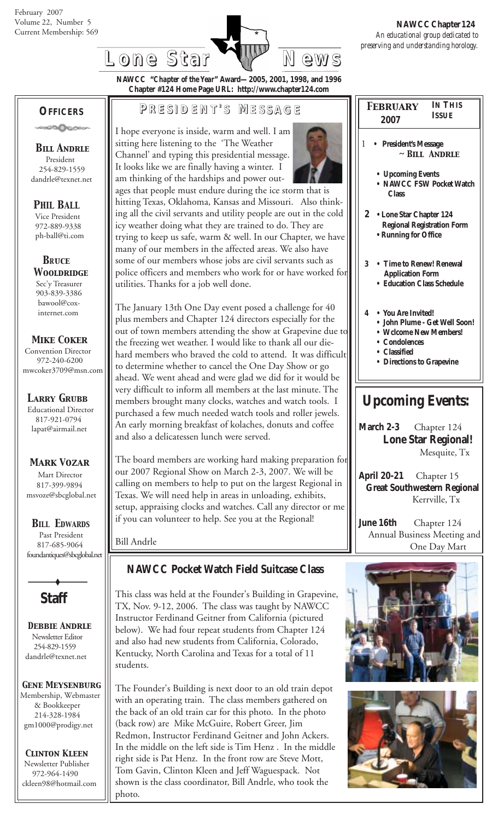

**NAWCC "***Chapter of the Year***" Award—2005, 2001, 1998, and 1996 Chapter #124 Home Page URL: http://www.chapter124.com**

### **OFFICERS**

ാടിക്കെ

 *Bill Andrle* President 254-829-1559 dandrle@texnet.net

#### *PHIL BALL*

 Vice President 972-889-9338 ph-ball@ti.com

 *BRuce Wooldridge* Sec'y Treasurer 903-839-3386 bawool@cox internet.com

#### *Mike Coker*

 Convention Director 972-240-6200 mwcoker3709@msn.com

*Larry Grubb* Educational Director 817-921-0794 lapat@airmail.net

#### *Mark Vozar*

Mart Director 817-399-9894 msvoze@sbcglobal.net

*BILL EDWARDS* Past President 817-685-9064 foundantiques@sbcglobal.net



 *Debbie Andrle* Newsletter Editor 254-829-1559 dandrle@texnet.net

#### *Gene Meysenburg*

Membership, Webmaster & Bookkeeper 214-328-1984 gm1000@prodigy.net

#### *Clinton Kleen* Newsletter Publisher

 972-964-1490 ckleen98@hotmail.com

## **P RESIDENT RESIDENT' S M ESSAGE**

I hope everyone is inside, warm and well. I am sitting here listening to the 'The Weather Channel' and typing this presidential message. It looks like we are finally having a winter. I am thinking of the hardships and power out-

ages that people must endure during the ice storm that is hitting Texas, Oklahoma, Kansas and Missouri. Also thinking all the civil servants and utility people are out in the cold icy weather doing what they are trained to do. They are trying to keep us safe, warm & well. In our Chapter, we have many of our members in the affected areas. We also have some of our members whose jobs are civil servants such as police officers and members who work for or have worked for utilities. Thanks for a job well done.

The January 13th One Day event posed a challenge for 40 plus members and Chapter 124 directors especially for the out of town members attending the show at Grapevine due to the freezing wet weather. I would like to thank all our diehard members who braved the cold to attend. It was difficult to determine whether to cancel the One Day Show or go ahead. We went ahead and were glad we did for it would be very difficult to inform all members at the last minute. The members brought many clocks, watches and watch tools. I purchased a few much needed watch tools and roller jewels. An early morning breakfast of kolaches, donuts and coffee and also a delicatessen lunch were served.

The board members are working hard making preparation for our 2007 Regional Show on March 2-3, 2007. We will be calling on members to help to put on the largest Regional in Texas. We will need help in areas in unloading, exhibits, setup, appraising clocks and watches. Call any director or me if you can volunteer to help. See you at the Regional!

Bill Andrle

## **NAWCC Pocket Watch Field Suitcase Class**

This class was held at the Founder's Building in Grapevine, TX, Nov. 9-12, 2006. The class was taught by NAWCC Instructor Ferdinand Geitner from California (pictured below). We had four repeat students from Chapter 124 and also had new students from California, Colorado, Kentucky, North Carolina and Texas for a total of 11 students.

The Founder's Building is next door to an old train depot with an operating train. The class members gathered on the back of an old train car for this photo. In the photo (back row) are Mike McGuire, Robert Greer, Jim Redmon, Instructor Ferdinand Geitner and John Ackers. In the middle on the left side is Tim Henz . In the middle right side is Pat Henz. In the front row are Steve Mott, Tom Gavin, Clinton Kleen and Jeff Waguespack. Not shown is the class coordinator, Bill Andrle, who took the photo.

| <b>IN THIS</b><br><b>FEBRUARY</b><br><b>ISSUE</b><br>2007                                                                                      |  |  |
|------------------------------------------------------------------------------------------------------------------------------------------------|--|--|
| 1<br><b>President's Message</b><br>$\sim$ BILL ANDRLE                                                                                          |  |  |
| • Upcoming Events<br>NAWCC FSW Pocket Watch<br><b>Class</b>                                                                                    |  |  |
| 2 • Lone Star Chapter 124<br><b>Regional Registration Form</b><br>• Running for Office                                                         |  |  |
| $\mathbf{3}$<br>• Time to Renew! Renewal<br><b>Application Form</b><br><b>Education Class Schedule</b>                                         |  |  |
| • You Are Invited!<br>4<br>• John Plume - Get Well Soon!<br>• Wclcome New Members!<br>Condolences<br>• Classified<br>• Directions to Grapevine |  |  |
| <b>Upcoming Events:</b>                                                                                                                        |  |  |

**March 2-3** Chapter 124 **Lone Star Regional!** Mesquite, Tx

**April 20-21** Chapter 15 **Great Southwestern Regional** Kerrville, Tx

**June 16th** Chapter 124 Annual Business Meeting and One Day Mart



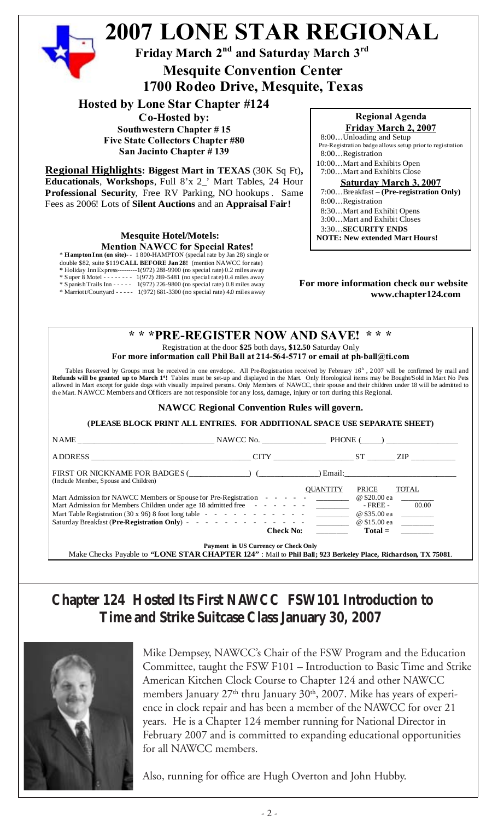

**Five State Collectors Chapter #80 San Jacinto Chapter # 139**

**Regional Highlights: Biggest Mart in TEXAS** (30K Sq Ft)**, Educationals**, **Workshops**, Full 8'x 2\_' Mart Tables, 24 Hour **Professional Security**, Free RV Parking, NO hookups . Same Fees as 2006! Lots of **Silent Auctions** and an **Appraisal Fair!**

> **Mesquite Hotel/Motels: Mention NAWCC for Special Rates!**

\* **Hampton Inn (on site)**- - 1 800-HAMPTON (special rate by Jan 28) single or

double \$82, suite \$119 **CALL BEFORE Jan 28!** (mention NAWCC for rate)

**\*** Holiday Inn Express---------1(972) 288-9900 (no special rate) 0.2 miles away

\* Super 8 Motel - - - - - - - - 1(972) 289-5481 (no special rate) 0.4 miles away \* Spanish Trails Inn - - - - - 1(972) 226-9800 (no special rate) 0.8 miles away

\* Marriott/Courtyard - - - - - 1(972) 681-3300 (no special rate) 4.0 miles away

8:00…Unloading and Setup Pre-Registration badge allows setup prior to registration 8:00…Registration 10:00…Mart and Exhibits Open 7:00…Mart and Exhibits Close **Saturday March 3, 2007** 7:00…Breakfast – **(Pre-registration Only)** 8:00…Registration 8:30…Mart and Exhibit Opens 3:00…Mart and Exhibit Closes 3:30…**SECURITY ENDS**

**NOTE: New extended Mart Hours!**

#### **For more information check our website www.chapter124.com**

#### **\* \* \*PRE-REGISTER NOW AND SAVE! \* \* \*** Registration at the door **\$25** both days**, \$12.50** Saturday Only

**For more information call Phil Ball at 214-564-5717 or email at ph-ball@ti.com**

Tables Reserved by Groups must be received in one envelope. All Pre-Registration received by February 16<sup>h</sup>, 2007 will be confirmed by mail and Refunds will be granted up to March 1<sup>s</sup>! Tables must be set-up and displayed in the Mart. Only Horological items may be Bought/Sold in Mart No Pets allowed in Mart except for guide dogs with visually impaired persons. Only Members of NAWCC, their spouse and their children under 18 will be admitted to the Mart. NAWCC Members and Officers are not responsible for any loss, damage, injury or tort during this Regional.

#### **NAWCC Regional Convention Rules will govern.**

**(PLEASE BLOCK PRINT ALL ENTRIES. FOR ADDITIONAL SPACE USE SEPARATE SHEET)**

|                                                                                                                                                                         |                                      | CITY ST         |                                          | ZIP FOR THE STATE OF THE STATE OF THE STATE OF THE STATE OF THE STATE OF THE STATE OF THE STATE OF THE STATE O |
|-------------------------------------------------------------------------------------------------------------------------------------------------------------------------|--------------------------------------|-----------------|------------------------------------------|----------------------------------------------------------------------------------------------------------------|
| (Include Member, Spouse and Children)                                                                                                                                   |                                      |                 |                                          |                                                                                                                |
| Mart Admission for NAWCC Members or Spouse for Pre-Registration - - - - - - _________<br>Mart Admission for Members Children under age 18 admitted free - - - - - - - - |                                      | <b>OUANTITY</b> | <b>PRICE</b><br>@ \$20.00 ea<br>- FREE - | <b>TOTAL</b><br>00.00                                                                                          |
|                                                                                                                                                                         |                                      |                 | @ \$35.00 ea                             |                                                                                                                |
|                                                                                                                                                                         | <b>Check No:</b>                     |                 |                                          | $Total =$                                                                                                      |
| Make Checks Payable to "LONE STAR CHAPTER 124": Mail to Phil Ball; 923 Berkeley Place, Richardson, TX 75081.                                                            | Payment in US Currency or Check Only |                 |                                          |                                                                                                                |

# **Chapter 124 Hosted Its First NAWCC FSW101 Introduction to Time and Strike Suitcase Class January 30, 2007**



Mike Dempsey, NAWCC's Chair of the FSW Program and the Education Committee, taught the FSW F101 – Introduction to Basic Time and Strike American Kitchen Clock Course to Chapter 124 and other NAWCC members January  $27<sup>th</sup>$  thru January  $30<sup>th</sup>$ ,  $2007$ . Mike has years of experience in clock repair and has been a member of the NAWCC for over 21 years. He is a Chapter 124 member running for National Director in February 2007 and is committed to expanding educational opportunities for all NAWCC members.

Also, running for office are Hugh Overton and John Hubby.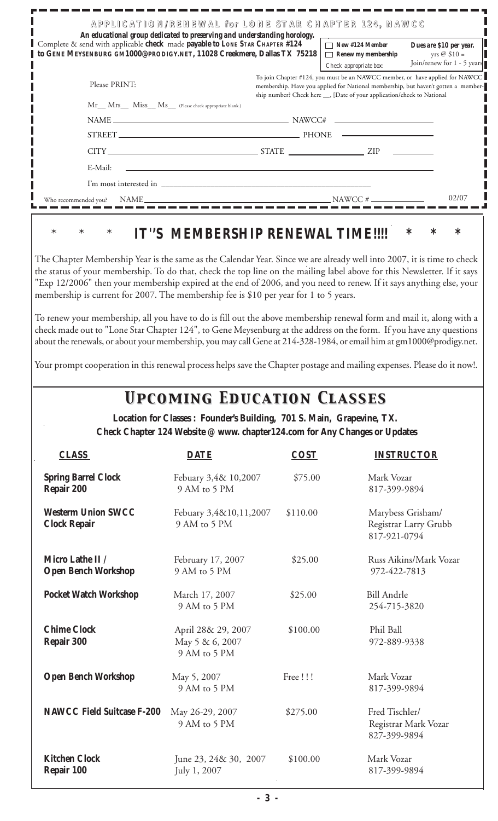|                                                                                                                                                                                                                                                                                                                                                                                                                                                                                                                                                                                         | APPLICATION/RENEWAL for LONE STAR CHAPTER 124, NAWCC                                                                                                 |             |                                                                                                                                                                    |                                                                         |
|-----------------------------------------------------------------------------------------------------------------------------------------------------------------------------------------------------------------------------------------------------------------------------------------------------------------------------------------------------------------------------------------------------------------------------------------------------------------------------------------------------------------------------------------------------------------------------------------|------------------------------------------------------------------------------------------------------------------------------------------------------|-------------|--------------------------------------------------------------------------------------------------------------------------------------------------------------------|-------------------------------------------------------------------------|
| Complete & send with applicable check made payable to LONE STAR CHAPTER #124<br>GENE MEYSENBURG GM1000@PRODIGY.NET, 11028 Creekmere, Dallas TX 75218<br>to                                                                                                                                                                                                                                                                                                                                                                                                                              | An educational group dedicated to preserving and understanding horology.                                                                             |             | $\Box$ New #124 Member<br>$\Box$ Renew my membership<br>Check appropriate box:                                                                                     | Dues are \$10 per year.<br>yrs $@$ \$10 =<br>Join/renew for 1 - 5 years |
| Please PRINT:                                                                                                                                                                                                                                                                                                                                                                                                                                                                                                                                                                           |                                                                                                                                                      |             | To join Chapter #124, you must be an NAWCC member, or have applied for NAWCC<br>membership. Have you applied for National membership, but haven't gotten a member- |                                                                         |
|                                                                                                                                                                                                                                                                                                                                                                                                                                                                                                                                                                                         | Mr__ Mrs___ Miss__ Ms__ (Please check appropriate blank.)                                                                                            |             | ship number? Check here __, [Date of your application/check to National                                                                                            |                                                                         |
|                                                                                                                                                                                                                                                                                                                                                                                                                                                                                                                                                                                         |                                                                                                                                                      |             |                                                                                                                                                                    |                                                                         |
|                                                                                                                                                                                                                                                                                                                                                                                                                                                                                                                                                                                         | STREET PHONE                                                                                                                                         |             |                                                                                                                                                                    |                                                                         |
|                                                                                                                                                                                                                                                                                                                                                                                                                                                                                                                                                                                         | $CITY$ $ZIP$ $ZIP$                                                                                                                                   |             |                                                                                                                                                                    |                                                                         |
| E-Mail:                                                                                                                                                                                                                                                                                                                                                                                                                                                                                                                                                                                 | <u> 1989 - Johann Stoff, deutscher Stoff, der Stoff, der Stoff, der Stoff, der Stoff, der Stoff, der Stoff, der S</u>                                |             |                                                                                                                                                                    |                                                                         |
|                                                                                                                                                                                                                                                                                                                                                                                                                                                                                                                                                                                         |                                                                                                                                                      |             |                                                                                                                                                                    |                                                                         |
|                                                                                                                                                                                                                                                                                                                                                                                                                                                                                                                                                                                         |                                                                                                                                                      |             |                                                                                                                                                                    | 02/07                                                                   |
| membership is current for 2007. The membership fee is \$10 per year for 1 to 5 years.<br>To renew your membership, all you have to do is fill out the above membership renewal form and mail it, along with a<br>check made out to "Lone Star Chapter 124", to Gene Meysenburg at the address on the form. If you have any questions<br>about the renewals, or about your membership, you may call Gene at 214-328-1984, or email him at gm1000@prodigy.net.<br>Your prompt cooperation in this renewal process helps save the Chapter postage and mailing expenses. Please do it now!. |                                                                                                                                                      |             |                                                                                                                                                                    |                                                                         |
|                                                                                                                                                                                                                                                                                                                                                                                                                                                                                                                                                                                         | <b>UPCOMING EDUCATION CLASSES</b>                                                                                                                    |             |                                                                                                                                                                    |                                                                         |
|                                                                                                                                                                                                                                                                                                                                                                                                                                                                                                                                                                                         | Location for Classes : Founder's Building, 701 S. Main, Grapevine, TX.<br>Check Chapter 124 Website @ www. chapter124.com for Any Changes or Updates |             |                                                                                                                                                                    |                                                                         |
| <b>CLASS</b>                                                                                                                                                                                                                                                                                                                                                                                                                                                                                                                                                                            | <b>DATE</b>                                                                                                                                          | <b>COST</b> |                                                                                                                                                                    | <b>INSTRUCTOR</b>                                                       |
| <b>Spring Barrel Clock</b><br><b>Repair 200</b>                                                                                                                                                                                                                                                                                                                                                                                                                                                                                                                                         | Febuary 3,4& 10,2007<br>9 AM to 5 PM                                                                                                                 | \$75.00     | Mark Vozar<br>817-399-9894                                                                                                                                         |                                                                         |
| <b>Westerm Union SWCC</b><br><b>Clock Repair</b>                                                                                                                                                                                                                                                                                                                                                                                                                                                                                                                                        | Febuary 3,4&10,11,2007<br>9 AM to 5 PM                                                                                                               | \$110.00    | 817-921-0794                                                                                                                                                       | Marybess Grisham/<br>Registrar Larry Grubb                              |
| Micro Lathe II /<br><b>Open Bench Workshop</b>                                                                                                                                                                                                                                                                                                                                                                                                                                                                                                                                          | February 17, 2007<br>9 AM to 5 PM                                                                                                                    | \$25.00     | 972-422-7813                                                                                                                                                       | Russ Aikins/Mark Vozar                                                  |

| <b>Westerm Union SWCC</b><br><b>Clock Repair</b> | Febuary 3,4&10,11,2007<br>9 AM to 5 PM                | \$110.00 | Marybess Grisham/<br>Registrar Larry Grubb<br>817-921-0794 |
|--------------------------------------------------|-------------------------------------------------------|----------|------------------------------------------------------------|
| Micro Lathe II /<br><b>Open Bench Workshop</b>   | February 17, 2007<br>9 AM to 5 PM                     | \$25.00  | Russ Aikins/Mark Voz<br>972-422-7813                       |
| Pocket Watch Workshop                            | March 17, 2007<br>9 AM to 5 PM                        | \$25.00  | <b>Bill Andrle</b><br>254-715-3820                         |
| <b>Chime Clock</b><br>Repair 300                 | April 28& 29, 2007<br>May 5 & 6, 2007<br>9 AM to 5 PM | \$100.00 | Phil Ball<br>972-889-9338                                  |
| <b>Open Bench Workshop</b>                       | May 5, 2007<br>9 AM to 5 PM                           | Free !!! | Mark Vozar<br>817-399-9894                                 |
| <b>NAWCC Field Suitcase F-200</b>                | May 26-29, 2007<br>9 AM to 5 PM                       | \$275.00 | Fred Tischler/<br>Registrar Mark Vozar<br>827-399-9894     |
| <b>Kitchen Clock</b><br>Repair 100               | June 23, 24& 30, 2007<br>July 1, 2007                 | \$100.00 | Mark Vozar<br>817-399-9894                                 |
|                                                  |                                                       |          |                                                            |